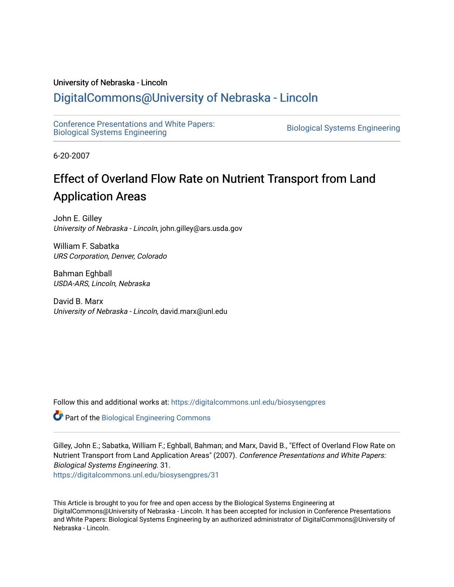#### University of Nebraska - Lincoln

## [DigitalCommons@University of Nebraska - Lincoln](https://digitalcommons.unl.edu/)

[Conference Presentations and White Papers:](https://digitalcommons.unl.edu/biosysengpres)  [Biological Systems Engineering](https://digitalcommons.unl.edu/biosysengpres) [Biological Systems Engineering](https://digitalcommons.unl.edu/agbiosyseng) 

6-20-2007

# Effect of Overland Flow Rate on Nutrient Transport from Land Application Areas

John E. Gilley University of Nebraska - Lincoln, john.gilley@ars.usda.gov

William F. Sabatka URS Corporation, Denver, Colorado

Bahman Eghball USDA-ARS, Lincoln, Nebraska

David B. Marx University of Nebraska - Lincoln, david.marx@unl.edu

Follow this and additional works at: [https://digitalcommons.unl.edu/biosysengpres](https://digitalcommons.unl.edu/biosysengpres?utm_source=digitalcommons.unl.edu%2Fbiosysengpres%2F31&utm_medium=PDF&utm_campaign=PDFCoverPages)

Part of the [Biological Engineering Commons](http://network.bepress.com/hgg/discipline/230?utm_source=digitalcommons.unl.edu%2Fbiosysengpres%2F31&utm_medium=PDF&utm_campaign=PDFCoverPages)

Gilley, John E.; Sabatka, William F.; Eghball, Bahman; and Marx, David B., "Effect of Overland Flow Rate on Nutrient Transport from Land Application Areas" (2007). Conference Presentations and White Papers: Biological Systems Engineering. 31.

[https://digitalcommons.unl.edu/biosysengpres/31](https://digitalcommons.unl.edu/biosysengpres/31?utm_source=digitalcommons.unl.edu%2Fbiosysengpres%2F31&utm_medium=PDF&utm_campaign=PDFCoverPages) 

This Article is brought to you for free and open access by the Biological Systems Engineering at DigitalCommons@University of Nebraska - Lincoln. It has been accepted for inclusion in Conference Presentations and White Papers: Biological Systems Engineering by an authorized administrator of DigitalCommons@University of Nebraska - Lincoln.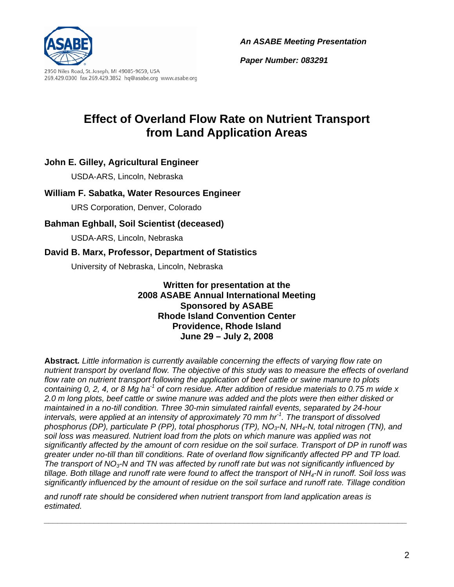



2950 Niles Road, St. Joseph, MI 49085-9659, USA 269.429.0300 fax 269.429.3852 hq@asabe.org www.asabe.org *Paper Number: 083291*

# **Effect of Overland Flow Rate on Nutrient Transport from Land Application Areas**

## **John E. Gilley, Agricultural Engineer**

USDA-ARS, Lincoln, Nebraska

## **William F. Sabatka, Water Resources Engineer**

URS Corporation, Denver, Colorado

## **Bahman Eghball, Soil Scientist (deceased)**

USDA-ARS, Lincoln, Nebraska

## **David B. Marx, Professor, Department of Statistics**

University of Nebraska, Lincoln, Nebraska

**Written for presentation at the 2008 ASABE Annual International Meeting Sponsored by ASABE Rhode Island Convention Center Providence, Rhode Island June 29 – July 2, 2008** 

**Abstract***. Little information is currently available concerning the effects of varying flow rate on nutrient transport by overland flow. The objective of this study was to measure the effects of overland flow rate on nutrient transport following the application of beef cattle or swine manure to plots containing 0, 2, 4, or 8 Mg ha-1 of corn residue. After addition of residue materials to 0.75 m wide x 2.0 m long plots, beef cattle or swine manure was added and the plots were then either disked or maintained in a no-till condition. Three 30-min simulated rainfall events, separated by 24-hour intervals, were applied at an intensity of approximately 70 mm hr-1. The transport of dissolved phosphorus (DP), particulate P (PP), total phosphorus (TP), NO3-N, NH4-N, total nitrogen (TN), and soil loss was measured. Nutrient load from the plots on which manure was applied was not significantly affected by the amount of corn residue on the soil surface. Transport of DP in runoff was greater under no-till than till conditions. Rate of overland flow significantly affected PP and TP load. The transport of NO3-N and TN was affected by runoff rate but was not significantly influenced by tillage. Both tillage and runoff rate were found to affect the transport of NH4-N in runoff. Soil loss was significantly influenced by the amount of residue on the soil surface and runoff rate. Tillage condition* 

*\_\_\_\_\_\_\_\_\_\_\_\_\_\_\_\_\_\_\_\_\_\_\_\_\_\_\_\_\_\_\_\_\_\_\_\_\_\_\_\_\_\_\_\_\_\_\_\_\_\_\_\_\_\_\_\_\_\_\_\_\_\_\_\_\_\_\_\_\_\_\_\_\_\_\_\_\_\_\_\_* 

*and runoff rate should be considered when nutrient transport from land application areas is estimated.*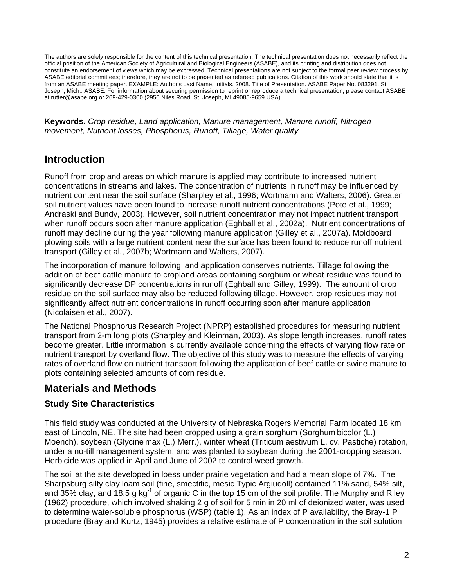The authors are solely responsible for the content of this technical presentation. The technical presentation does not necessarily reflect the official position of the American Society of Agricultural and Biological Engineers (ASABE), and its printing and distribution does not constitute an endorsement of views which may be expressed. Technical presentations are not subject to the formal peer review process by ASABE editorial committees; therefore, they are not to be presented as refereed publications. Citation of this work should state that it is from an ASABE meeting paper. EXAMPLE: Author's Last Name, Initials. 2008. Title of Presentation. ASABE Paper No. 083291. St. Joseph, Mich.: ASABE. For information about securing permission to reprint or reproduce a technical presentation, please contact ASABE at rutter@asabe.org or 269-429-0300 (2950 Niles Road, St. Joseph, MI 49085-9659 USA).

\_\_\_\_\_\_\_\_\_\_\_\_\_\_\_\_\_\_\_\_\_\_\_\_\_\_\_\_\_\_\_\_\_\_\_\_\_\_\_\_\_\_\_\_\_\_\_\_\_\_\_\_\_\_\_\_\_\_\_\_\_\_\_\_\_\_\_\_\_\_\_\_\_\_\_\_\_\_\_\_\_\_\_\_\_\_\_\_\_\_\_\_\_\_\_\_\_\_\_\_\_\_\_\_\_\_\_\_\_\_

**Keywords.** *Crop residue, Land application, Manure management, Manure runoff, Nitrogen movement, Nutrient losses, Phosphorus, Runoff, Tillage, Water quality*

## **Introduction**

Runoff from cropland areas on which manure is applied may contribute to increased nutrient concentrations in streams and lakes. The concentration of nutrients in runoff may be influenced by nutrient content near the soil surface (Sharpley et al., 1996; Wortmann and Walters, 2006). Greater soil nutrient values have been found to increase runoff nutrient concentrations (Pote et al., 1999; Andraski and Bundy, 2003). However, soil nutrient concentration may not impact nutrient transport when runoff occurs soon after manure application (Eghball et al., 2002a). Nutrient concentrations of runoff may decline during the year following manure application (Gilley et al., 2007a). Moldboard plowing soils with a large nutrient content near the surface has been found to reduce runoff nutrient transport (Gilley et al., 2007b; Wortmann and Walters, 2007).

The incorporation of manure following land application conserves nutrients. Tillage following the addition of beef cattle manure to cropland areas containing sorghum or wheat residue was found to significantly decrease DP concentrations in runoff (Eghball and Gilley, 1999). The amount of crop residue on the soil surface may also be reduced following tillage. However, crop residues may not significantly affect nutrient concentrations in runoff occurring soon after manure application (Nicolaisen et al., 2007).

The National Phosphorus Research Project (NPRP) established procedures for measuring nutrient transport from 2-m long plots (Sharpley and Kleinman, 2003). As slope length increases, runoff rates become greater. Little information is currently available concerning the effects of varying flow rate on nutrient transport by overland flow. The objective of this study was to measure the effects of varying rates of overland flow on nutrient transport following the application of beef cattle or swine manure to plots containing selected amounts of corn residue.

## **Materials and Methods**

## **Study Site Characteristics**

This field study was conducted at the University of Nebraska Rogers Memorial Farm located 18 km east of Lincoln, NE. The site had been cropped using a grain sorghum (Sorghum bicolor (L.) Moench), soybean (Glycine max (L.) Merr.), winter wheat (Triticum aestivum L. cv. Pastiche) rotation, under a no-till management system, and was planted to soybean during the 2001-cropping season. Herbicide was applied in April and June of 2002 to control weed growth.

The soil at the site developed in loess under prairie vegetation and had a mean slope of 7%. The Sharpsburg silty clay loam soil (fine, smectitic, mesic Typic Argiudoll) contained 11% sand, 54% silt, and 35% clay, and 18.5 g kg<sup>-1</sup> of organic C in the top 15 cm of the soil profile. The Murphy and Riley (1962) procedure, which involved shaking 2 g of soil for 5 min in 20 ml of deionized water, was used to determine water-soluble phosphorus (WSP) (table 1). As an index of P availability, the Bray-1 P procedure (Bray and Kurtz, 1945) provides a relative estimate of P concentration in the soil solution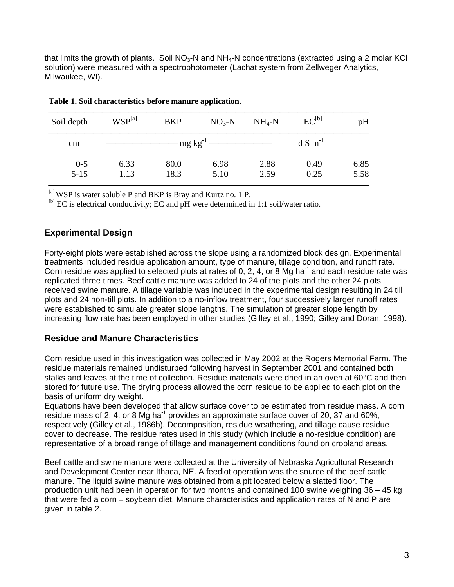that limits the growth of plants. Soil  $NO<sub>3</sub>-N$  and  $NH<sub>4</sub>-N$  concentrations (extracted using a 2 molar KCl solution) were measured with a spectrophotometer (Lachat system from Zellweger Analytics, Milwaukee, WI).

| Soil depth          | WSP <sup>[a]</sup> | <b>BKP</b>   | $NO3-N$                | $NH_4-N$     | $EC^{[b]}$           | pH           |
|---------------------|--------------------|--------------|------------------------|--------------|----------------------|--------------|
| cm                  |                    |              | $mg \text{ kg}^{-1}$ — |              | $dS$ m <sup>-1</sup> |              |
| $0 - 5$<br>$5 - 15$ | 6.33<br>1.13       | 80.0<br>18.3 | 6.98<br>5.10           | 2.88<br>2.59 | 0.49<br>0.25         | 6.85<br>5.58 |

| Table 1. Soil characteristics before manure application. |  |  |
|----------------------------------------------------------|--|--|
|----------------------------------------------------------|--|--|

[a] WSP is water soluble P and BKP is Bray and Kurtz no. 1 P.

<sup>[b]</sup> EC is electrical conductivity; EC and pH were determined in 1:1 soil/water ratio.

### **Experimental Design**

Forty-eight plots were established across the slope using a randomized block design. Experimental treatments included residue application amount, type of manure, tillage condition, and runoff rate. Corn residue was applied to selected plots at rates of 0, 2, 4, or 8 Mg ha<sup>-1</sup> and each residue rate was replicated three times. Beef cattle manure was added to 24 of the plots and the other 24 plots received swine manure. A tillage variable was included in the experimental design resulting in 24 till plots and 24 non-till plots. In addition to a no-inflow treatment, four successively larger runoff rates were established to simulate greater slope lengths. The simulation of greater slope length by increasing flow rate has been employed in other studies (Gilley et al., 1990; Gilley and Doran, 1998).

### **Residue and Manure Characteristics**

Corn residue used in this investigation was collected in May 2002 at the Rogers Memorial Farm. The residue materials remained undisturbed following harvest in September 2001 and contained both stalks and leaves at the time of collection. Residue materials were dried in an oven at 60°C and then stored for future use. The drying process allowed the corn residue to be applied to each plot on the basis of uniform dry weight.

Equations have been developed that allow surface cover to be estimated from residue mass. A corn residue mass of 2, 4, or 8 Mg ha<sup>-1</sup> provides an approximate surface cover of 20, 37 and 60%, respectively (Gilley et al., 1986b). Decomposition, residue weathering, and tillage cause residue cover to decrease. The residue rates used in this study (which include a no-residue condition) are representative of a broad range of tillage and management conditions found on cropland areas.

Beef cattle and swine manure were collected at the University of Nebraska Agricultural Research and Development Center near Ithaca, NE. A feedlot operation was the source of the beef cattle manure. The liquid swine manure was obtained from a pit located below a slatted floor. The production unit had been in operation for two months and contained 100 swine weighing 36 – 45 kg that were fed a corn – soybean diet. Manure characteristics and application rates of N and P are given in table 2.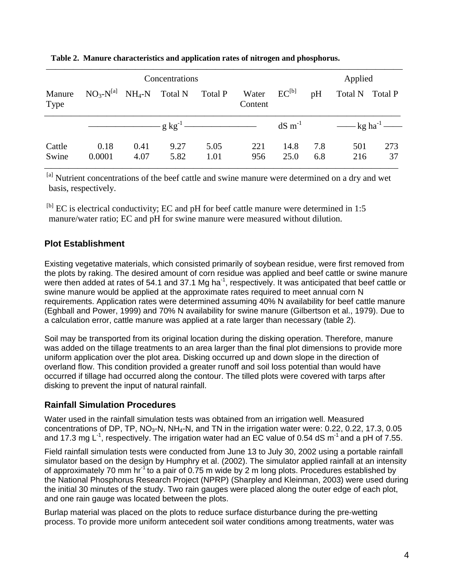|                 | Concentrations                                    |              |              |                      |                             |                       | Applied    |                                                               |           |
|-----------------|---------------------------------------------------|--------------|--------------|----------------------|-----------------------------|-----------------------|------------|---------------------------------------------------------------|-----------|
| Manure<br>Type  | $NO_3-N^{[a]}$ NH <sub>4</sub> -N Total N Total P |              |              |                      | Water $EC^{[b]}$<br>Content |                       | pH         | Total N Total P                                               |           |
|                 |                                                   |              |              | $-g \text{ kg}^{-1}$ |                             | $dS \, \text{m}^{-1}$ |            | $\frac{1}{\sqrt{2}}$ kg ha <sup>-1</sup> $\frac{1}{\sqrt{2}}$ |           |
| Cattle<br>Swine | 0.18<br>0.0001                                    | 0.41<br>4.07 | 9.27<br>5.82 | 5.05<br>1.01         | 221<br>956                  | 14.8<br>25.0          | 7.8<br>6.8 | 501<br>216                                                    | 273<br>37 |

#### **Table 2. Manure characteristics and application rates of nitrogen and phosphorus.**

[a] Nutrient concentrations of the beef cattle and swine manure were determined on a dry and wet basis, respectively.

 $^{[b]}$  EC is electrical conductivity; EC and pH for beef cattle manure were determined in 1:5 manure/water ratio; EC and pH for swine manure were measured without dilution.

## **Plot Establishment**

Existing vegetative materials, which consisted primarily of soybean residue, were first removed from the plots by raking. The desired amount of corn residue was applied and beef cattle or swine manure were then added at rates of 54.1 and 37.1 Mg ha<sup>-1</sup>, respectively. It was anticipated that beef cattle or swine manure would be applied at the approximate rates required to meet annual corn N requirements. Application rates were determined assuming 40% N availability for beef cattle manure (Eghball and Power, 1999) and 70% N availability for swine manure (Gilbertson et al., 1979). Due to a calculation error, cattle manure was applied at a rate larger than necessary (table 2).

Soil may be transported from its original location during the disking operation. Therefore, manure was added on the tillage treatments to an area larger than the final plot dimensions to provide more uniform application over the plot area. Disking occurred up and down slope in the direction of overland flow. This condition provided a greater runoff and soil loss potential than would have occurred if tillage had occurred along the contour. The tilled plots were covered with tarps after disking to prevent the input of natural rainfall.

## **Rainfall Simulation Procedures**

Water used in the rainfall simulation tests was obtained from an irrigation well. Measured concentrations of DP, TP,  $NO<sub>3</sub>-N$ ,  $NH<sub>4</sub>-N$ , and TN in the irrigation water were: 0.22, 0.22, 17.3, 0.05 and 17.3 mg L<sup>-1</sup>, respectively. The irrigation water had an EC value of 0.54 dS m<sup>-1</sup> and a pH of 7.55.

Field rainfall simulation tests were conducted from June 13 to July 30, 2002 using a portable rainfall simulator based on the design by Humphry et al. (2002). The simulator applied rainfall at an intensity of approximately 70 mm hr<sup>1</sup> to a pair of 0.75 m wide by 2 m long plots. Procedures established by the National Phosphorus Research Project (NPRP) (Sharpley and Kleinman, 2003) were used during the initial 30 minutes of the study. Two rain gauges were placed along the outer edge of each plot, and one rain gauge was located between the plots.

Burlap material was placed on the plots to reduce surface disturbance during the pre-wetting process. To provide more uniform antecedent soil water conditions among treatments, water was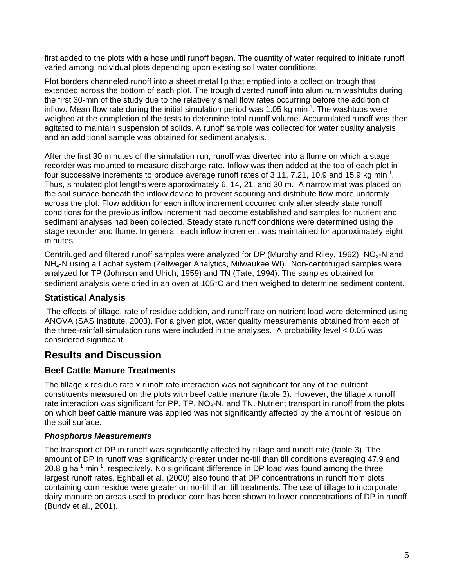first added to the plots with a hose until runoff began. The quantity of water required to initiate runoff varied among individual plots depending upon existing soil water conditions.

Plot borders channeled runoff into a sheet metal lip that emptied into a collection trough that extended across the bottom of each plot. The trough diverted runoff into aluminum washtubs during the first 30-min of the study due to the relatively small flow rates occurring before the addition of inflow. Mean flow rate during the initial simulation period was 1.05 kg min<sup>-1</sup>. The washtubs were weighed at the completion of the tests to determine total runoff volume. Accumulated runoff was then agitated to maintain suspension of solids. A runoff sample was collected for water quality analysis and an additional sample was obtained for sediment analysis.

After the first 30 minutes of the simulation run, runoff was diverted into a flume on which a stage recorder was mounted to measure discharge rate. Inflow was then added at the top of each plot in four successive increments to produce average runoff rates of 3.11, 7.21, 10.9 and 15.9 kg min<sup>-1</sup>. Thus, simulated plot lengths were approximately 6, 14, 21, and 30 m. A narrow mat was placed on the soil surface beneath the inflow device to prevent scouring and distribute flow more uniformly across the plot. Flow addition for each inflow increment occurred only after steady state runoff conditions for the previous inflow increment had become established and samples for nutrient and sediment analyses had been collected. Steady state runoff conditions were determined using the stage recorder and flume. In general, each inflow increment was maintained for approximately eight minutes.

Centrifuged and filtered runoff samples were analyzed for DP (Murphy and Riley, 1962), NO<sub>3</sub>-N and NH4-N using a Lachat system (Zellweger Analytics, Milwaukee WI). Non-centrifuged samples were analyzed for TP (Johnson and Ulrich, 1959) and TN (Tate, 1994). The samples obtained for sediment analysis were dried in an oven at 105°C and then weighed to determine sediment content.

### **Statistical Analysis**

 The effects of tillage, rate of residue addition, and runoff rate on nutrient load were determined using ANOVA (SAS Institute, 2003). For a given plot, water quality measurements obtained from each of the three-rainfall simulation runs were included in the analyses. A probability level < 0.05 was considered significant.

## **Results and Discussion**

## **Beef Cattle Manure Treatments**

The tillage x residue rate x runoff rate interaction was not significant for any of the nutrient constituents measured on the plots with beef cattle manure (table 3). However, the tillage x runoff rate interaction was significant for PP, TP,  $NO<sub>3</sub>$ -N, and TN. Nutrient transport in runoff from the plots on which beef cattle manure was applied was not significantly affected by the amount of residue on the soil surface.

### *Phosphorus Measurements*

The transport of DP in runoff was significantly affected by tillage and runoff rate (table 3). The amount of DP in runoff was significantly greater under no-till than till conditions averaging 47.9 and 20.8 g ha<sup>-1</sup> min<sup>-1</sup>, respectively. No significant difference in DP load was found among the three largest runoff rates. Eghball et al. (2000) also found that DP concentrations in runoff from plots containing corn residue were greater on no-till than till treatments. The use of tillage to incorporate dairy manure on areas used to produce corn has been shown to lower concentrations of DP in runoff (Bundy et al., 2001).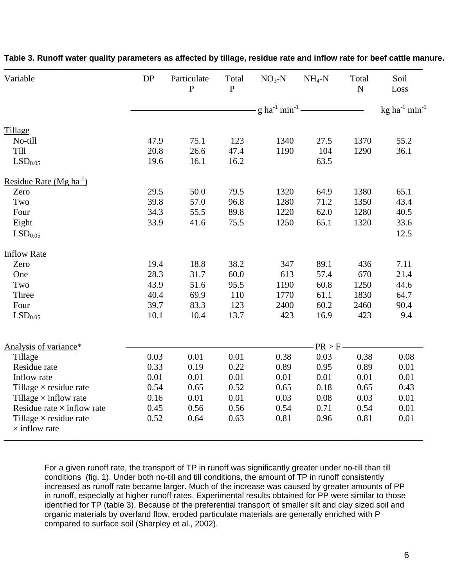| Variable                                              | DP   | Particulate<br>$\mathbf{P}$ | Total<br>$\mathbf{P}$ | $NO3-N$                                     | $NH_4-N$ | Total<br>${\bf N}$ | Soil<br>Loss                    |
|-------------------------------------------------------|------|-----------------------------|-----------------------|---------------------------------------------|----------|--------------------|---------------------------------|
|                                                       |      |                             |                       | $-g \, \text{ha}^{-1} \, \text{min}^{-1}$ - |          |                    | kg ha $^{-1}$ min <sup>-1</sup> |
| Tillage                                               |      |                             |                       |                                             |          |                    |                                 |
| No-till                                               | 47.9 | 75.1                        | 123                   | 1340                                        | 27.5     | 1370               | 55.2                            |
| Till                                                  | 20.8 | 26.6                        | 47.4                  | 1190                                        | 104      | 1290               | 36.1                            |
| LSD <sub>0.05</sub>                                   | 19.6 | 16.1                        | 16.2                  |                                             | 63.5     |                    |                                 |
| Residue Rate (Mg ha <sup>-1</sup> )                   |      |                             |                       |                                             |          |                    |                                 |
| Zero                                                  | 29.5 | 50.0                        | 79.5                  | 1320                                        | 64.9     | 1380               | 65.1                            |
| Two                                                   | 39.8 | 57.0                        | 96.8                  | 1280                                        | 71.2     | 1350               | 43.4                            |
| Four                                                  | 34.3 | 55.5                        | 89.8                  | 1220                                        | 62.0     | 1280               | 40.5                            |
| Eight                                                 | 33.9 | 41.6                        | 75.5                  | 1250                                        | 65.1     | 1320               | 33.6                            |
| LSD <sub>0.05</sub>                                   |      |                             |                       |                                             |          |                    | 12.5                            |
| <b>Inflow Rate</b>                                    |      |                             |                       |                                             |          |                    |                                 |
| Zero                                                  | 19.4 | 18.8                        | 38.2                  | 347                                         | 89.1     | 436                | 7.11                            |
| One                                                   | 28.3 | 31.7                        | 60.0                  | 613                                         | 57.4     | 670                | 21.4                            |
| Two                                                   | 43.9 | 51.6                        | 95.5                  | 1190                                        | 60.8     | 1250               | 44.6                            |
| Three                                                 | 40.4 | 69.9                        | 110                   | 1770                                        | 61.1     | 1830               | 64.7                            |
| Four                                                  | 39.7 | 83.3                        | 123                   | 2400                                        | 60.2     | 2460               | 90.4                            |
| LSD <sub>0.05</sub>                                   | 10.1 | 10.4                        | 13.7                  | 423                                         | 16.9     | 423                | 9.4                             |
|                                                       |      |                             |                       |                                             |          |                    |                                 |
| Analysis of variance*                                 |      |                             |                       |                                             | PR > F   |                    |                                 |
| Tillage                                               | 0.03 | 0.01                        | 0.01                  | 0.38                                        | 0.03     | 0.38               | 0.08                            |
| Residue rate                                          | 0.33 | 0.19                        | 0.22                  | 0.89                                        | 0.95     | 0.89               | 0.01                            |
| Inflow rate                                           | 0.01 | 0.01                        | 0.01                  | 0.01                                        | 0.01     | 0.01               | 0.01                            |
| Tillage $\times$ residue rate                         | 0.54 | 0.65                        | 0.52                  | 0.65                                        | 0.18     | 0.65               | 0.43                            |
| Tillage $\times$ inflow rate                          | 0.16 | 0.01                        | 0.01                  | 0.03                                        | 0.08     | 0.03               | 0.01                            |
| Residue rate $\times$ inflow rate                     | 0.45 | 0.56                        | 0.56                  | 0.54                                        | 0.71     | 0.54               | 0.01                            |
| Tillage $\times$ residue rate<br>$\times$ inflow rate | 0.52 | 0.64                        | 0.63                  | 0.81                                        | 0.96     | 0.81               | 0.01                            |

#### **Table 3. Runoff water quality parameters as affected by tillage, residue rate and inflow rate for beef cattle manure.**

For a given runoff rate, the transport of TP in runoff was significantly greater under no-till than till conditions (fig. 1). Under both no-till and till conditions, the amount of TP in runoff consistently increased as runoff rate became larger. Much of the increase was caused by greater amounts of PP in runoff, especially at higher runoff rates. Experimental results obtained for PP were similar to those identified for TP (table 3). Because of the preferential transport of smaller silt and clay sized soil and organic materials by overland flow, eroded particulate materials are generally enriched with P compared to surface soil (Sharpley et al., 2002).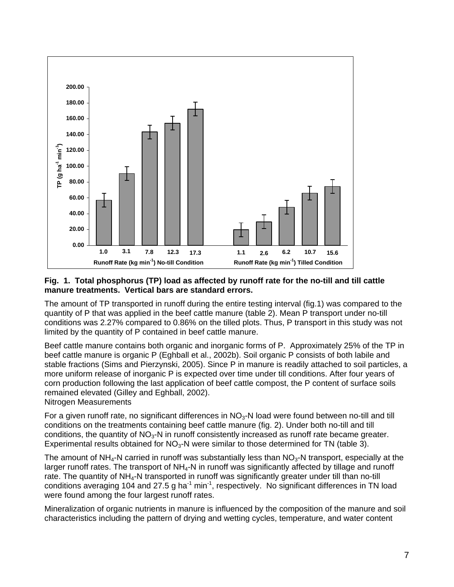

#### **Fig. 1. Total phosphorus (TP) load as affected by runoff rate for the no-till and till cattle manure treatments. Vertical bars are standard errors.**

The amount of TP transported in runoff during the entire testing interval (fig.1) was compared to the quantity of P that was applied in the beef cattle manure (table 2). Mean P transport under no-till conditions was 2.27% compared to 0.86% on the tilled plots. Thus, P transport in this study was not limited by the quantity of P contained in beef cattle manure.

Beef cattle manure contains both organic and inorganic forms of P. Approximately 25% of the TP in beef cattle manure is organic P (Eghball et al., 2002b). Soil organic P consists of both labile and stable fractions (Sims and Pierzynski, 2005). Since P in manure is readily attached to soil particles, a more uniform release of inorganic P is expected over time under till conditions. After four years of corn production following the last application of beef cattle compost, the P content of surface soils remained elevated (Gilley and Eghball, 2002). Nitrogen Measurements

For a given runoff rate, no significant differences in  $NO<sub>3</sub>-N$  load were found between no-till and till conditions on the treatments containing beef cattle manure (fig. 2). Under both no-till and till conditions, the quantity of  $NO<sub>3</sub>-N$  in runoff consistently increased as runoff rate became greater. Experimental results obtained for  $NO<sub>3</sub>$ -N were similar to those determined for TN (table 3).

The amount of NH<sub>4</sub>-N carried in runoff was substantially less than  $NO<sub>3</sub>-N$  transport, especially at the larger runoff rates. The transport of  $NH<sub>4</sub>-N$  in runoff was significantly affected by tillage and runoff rate. The quantity of NH<sub>4</sub>-N transported in runoff was significantly greater under till than no-till conditions averaging 104 and 27.5 g ha $^{-1}$  min $^{-1}$ , respectively. No significant differences in TN load were found among the four largest runoff rates.

Mineralization of organic nutrients in manure is influenced by the composition of the manure and soil characteristics including the pattern of drying and wetting cycles, temperature, and water content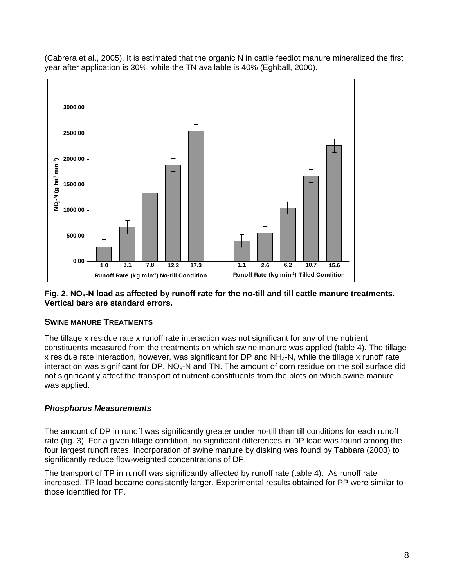(Cabrera et al., 2005). It is estimated that the organic N in cattle feedlot manure mineralized the first year after application is 30%, while the TN available is 40% (Eghball, 2000).



#### Fig. 2. NO<sub>3</sub>-N load as affected by runoff rate for the no-till and till cattle manure treatments. **Vertical bars are standard errors.**

#### **SWINE MANURE TREATMENTS**

The tillage x residue rate x runoff rate interaction was not significant for any of the nutrient constituents measured from the treatments on which swine manure was applied (table 4). The tillage x residue rate interaction, however, was significant for DP and NH4-N, while the tillage x runoff rate interaction was significant for DP,  $NO<sub>3</sub>$ -N and TN. The amount of corn residue on the soil surface did not significantly affect the transport of nutrient constituents from the plots on which swine manure was applied.

### *Phosphorus Measurements*

The amount of DP in runoff was significantly greater under no-till than till conditions for each runoff rate (fig. 3). For a given tillage condition, no significant differences in DP load was found among the four largest runoff rates. Incorporation of swine manure by disking was found by Tabbara (2003) to significantly reduce flow-weighted concentrations of DP.

The transport of TP in runoff was significantly affected by runoff rate (table 4). As runoff rate increased, TP load became consistently larger. Experimental results obtained for PP were similar to those identified for TP.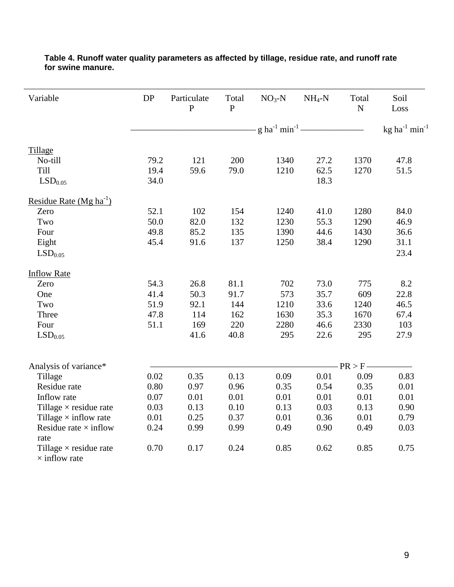| Variable                      | DP                                          | Particulate<br>$\overline{P}$ | Total<br>$\overline{P}$ | $NO3-N$ | $NH_4-N$ | Total<br>${\bf N}$ | Soil<br>Loss                    |
|-------------------------------|---------------------------------------------|-------------------------------|-------------------------|---------|----------|--------------------|---------------------------------|
|                               | $-g \, \text{ha}^{-1} \, \text{min}^{-1}$ — |                               |                         |         |          |                    | kg ha $^{-1}$ min <sup>-1</sup> |
| Tillage                       |                                             |                               |                         |         |          |                    |                                 |
| No-till                       | 79.2                                        | 121                           | 200                     | 1340    | 27.2     | 1370               | 47.8                            |
| Till                          | 19.4                                        | 59.6                          | 79.0                    | 1210    | 62.5     | 1270               | 51.5                            |
| LSD <sub>0.05</sub>           | 34.0                                        |                               |                         |         | 18.3     |                    |                                 |
| Residue Rate $(Mg ha^{-1})$   |                                             |                               |                         |         |          |                    |                                 |
| Zero                          | 52.1                                        | 102                           | 154                     | 1240    | 41.0     | 1280               | 84.0                            |
| Two                           | 50.0                                        | 82.0                          | 132                     | 1230    | 55.3     | 1290               | 46.9                            |
| Four                          | 49.8                                        | 85.2                          | 135                     | 1390    | 44.6     | 1430               | 36.6                            |
| Eight                         | 45.4                                        | 91.6                          | 137                     | 1250    | 38.4     | 1290               | 31.1                            |
| LSD <sub>0.05</sub>           |                                             |                               |                         |         |          |                    | 23.4                            |
| <b>Inflow Rate</b>            |                                             |                               |                         |         |          |                    |                                 |
| Zero                          | 54.3                                        | 26.8                          | 81.1                    | 702     | 73.0     | 775                | 8.2                             |
| One                           | 41.4                                        | 50.3                          | 91.7                    | 573     | 35.7     | 609                | 22.8                            |
| Two                           | 51.9                                        | 92.1                          | 144                     | 1210    | 33.6     | 1240               | 46.5                            |
| Three                         | 47.8                                        | 114                           | 162                     | 1630    | 35.3     | 1670               | 67.4                            |
| Four                          | 51.1                                        | 169                           | 220                     | 2280    | 46.6     | 2330               | 103                             |
| LSD <sub>0.05</sub>           |                                             | 41.6                          | 40.8                    | 295     | 22.6     | 295                | 27.9                            |
| Analysis of variance*         |                                             |                               |                         |         |          | $PR > F -$         |                                 |
| Tillage                       | 0.02                                        | 0.35                          | 0.13                    | 0.09    | 0.01     | 0.09               | 0.83                            |
| Residue rate                  | 0.80                                        | 0.97                          | 0.96                    | 0.35    | 0.54     | 0.35               | 0.01                            |
| Inflow rate                   | 0.07                                        | 0.01                          | 0.01                    | 0.01    | 0.01     | 0.01               | 0.01                            |
| Tillage $\times$ residue rate | 0.03                                        | 0.13                          | 0.10                    | 0.13    | 0.03     | 0.13               | 0.90                            |
| Tillage $\times$ inflow rate  | 0.01                                        | 0.25                          | 0.37                    | 0.01    | 0.36     | 0.01               | 0.79                            |
| Residue rate $\times$ inflow  | 0.24                                        | 0.99                          | 0.99                    | 0.49    | 0.90     | 0.49               | 0.03                            |
| rate                          |                                             |                               |                         |         |          |                    |                                 |
| Tillage $\times$ residue rate | 0.70                                        | 0.17                          | 0.24                    | 0.85    | 0.62     | 0.85               | 0.75                            |
| $\times$ inflow rate          |                                             |                               |                         |         |          |                    |                                 |

#### **Table 4. Runoff water quality parameters as affected by tillage, residue rate, and runoff rate for swine manure.**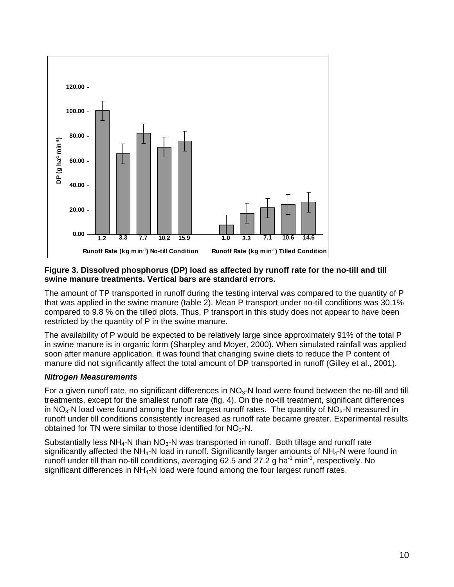

#### **Figure 3. Dissolved phosphorus (DP) load as affected by runoff rate for the no-till and till swine manure treatments. Vertical bars are standard errors.**

The amount of TP transported in runoff during the testing interval was compared to the quantity of P that was applied in the swine manure (table 2). Mean P transport under no-till conditions was 30.1% compared to 9.8 % on the tilled plots. Thus, P transport in this study does not appear to have been restricted by the quantity of P in the swine manure.

The availability of P would be expected to be relatively large since approximately 91% of the total P in swine manure is in organic form (Sharpley and Moyer, 2000). When simulated rainfall was applied soon after manure application, it was found that changing swine diets to reduce the P content of manure did not significantly affect the total amount of DP transported in runoff (Gilley et al., 2001).

### *Nitrogen Measurements*

For a given runoff rate, no significant differences in  $NO<sub>3</sub>-N$  load were found between the no-till and till treatments, except for the smallest runoff rate (fig. 4). On the no-till treatment, significant differences in  $NO<sub>3</sub>-N$  load were found among the four largest runoff rates. The quantity of  $NO<sub>3</sub>-N$  measured in runoff under till conditions consistently increased as runoff rate became greater. Experimental results obtained for TN were similar to those identified for  $NO<sub>3</sub>$ -N.

Substantially less  $NH<sub>4</sub>-N$  than  $NO<sub>3</sub>-N$  was transported in runoff. Both tillage and runoff rate significantly affected the NH<sub>4</sub>-N load in runoff. Significantly larger amounts of NH<sub>4</sub>-N were found in runoff under till than no-till conditions, averaging 62.5 and 27.2 g ha<sup>-1</sup> min<sup>-1</sup>, respectively. No significant differences in  $NH<sub>4</sub>-N$  load were found among the four largest runoff rates.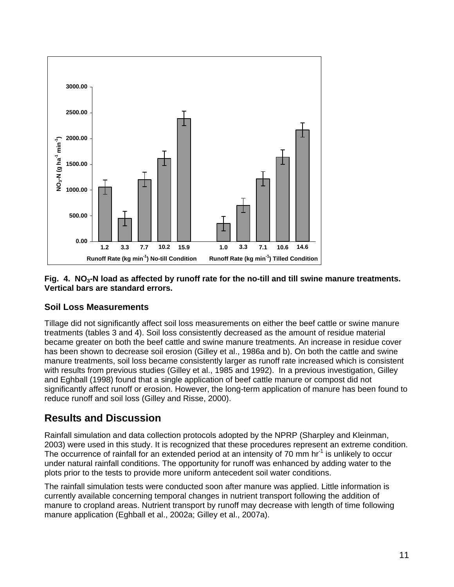

#### Fig. 4. NO<sub>3</sub>-N load as affected by runoff rate for the no-till and till swine manure treatments. **Vertical bars are standard errors.**

## **Soil Loss Measurements**

Tillage did not significantly affect soil loss measurements on either the beef cattle or swine manure treatments (tables 3 and 4). Soil loss consistently decreased as the amount of residue material became greater on both the beef cattle and swine manure treatments. An increase in residue cover has been shown to decrease soil erosion (Gilley et al., 1986a and b). On both the cattle and swine manure treatments, soil loss became consistently larger as runoff rate increased which is consistent with results from previous studies (Gilley et al., 1985 and 1992). In a previous investigation, Gilley and Eghball (1998) found that a single application of beef cattle manure or compost did not significantly affect runoff or erosion. However, the long-term application of manure has been found to reduce runoff and soil loss (Gilley and Risse, 2000).

## **Results and Discussion**

Rainfall simulation and data collection protocols adopted by the NPRP (Sharpley and Kleinman, 2003) were used in this study. It is recognized that these procedures represent an extreme condition. The occurrence of rainfall for an extended period at an intensity of 70 mm hr<sup>-1</sup> is unlikely to occur under natural rainfall conditions. The opportunity for runoff was enhanced by adding water to the plots prior to the tests to provide more uniform antecedent soil water conditions.

The rainfall simulation tests were conducted soon after manure was applied. Little information is currently available concerning temporal changes in nutrient transport following the addition of manure to cropland areas. Nutrient transport by runoff may decrease with length of time following manure application (Eghball et al., 2002a; Gilley et al., 2007a).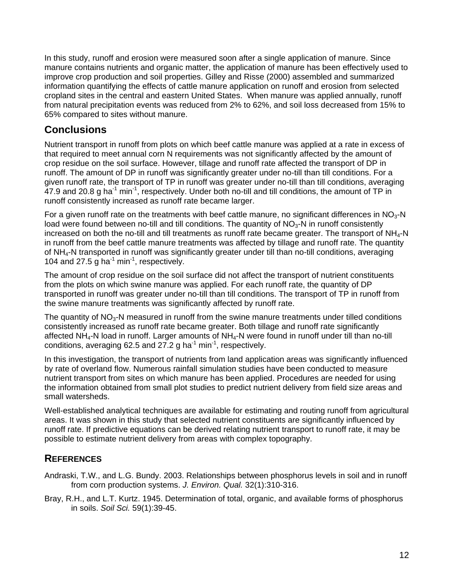In this study, runoff and erosion were measured soon after a single application of manure. Since manure contains nutrients and organic matter, the application of manure has been effectively used to improve crop production and soil properties. Gilley and Risse (2000) assembled and summarized information quantifying the effects of cattle manure application on runoff and erosion from selected cropland sites in the central and eastern United States. When manure was applied annually, runoff from natural precipitation events was reduced from 2% to 62%, and soil loss decreased from 15% to 65% compared to sites without manure.

## **Conclusions**

Nutrient transport in runoff from plots on which beef cattle manure was applied at a rate in excess of that required to meet annual corn N requirements was not significantly affected by the amount of crop residue on the soil surface. However, tillage and runoff rate affected the transport of DP in runoff. The amount of DP in runoff was significantly greater under no-till than till conditions. For a given runoff rate, the transport of TP in runoff was greater under no-till than till conditions, averaging 47.9 and 20.8 g ha<sup>-1</sup> min<sup>-1</sup>, respectively. Under both no-till and till conditions, the amount of TP in runoff consistently increased as runoff rate became larger.

For a given runoff rate on the treatments with beef cattle manure, no significant differences in  $NO<sub>3</sub>-N$ load were found between no-till and till conditions. The quantity of  $NO<sub>3</sub>$ -N in runoff consistently increased on both the no-till and till treatments as runoff rate became greater. The transport of  $NH<sub>4</sub>-N$ in runoff from the beef cattle manure treatments was affected by tillage and runoff rate. The quantity of NH4-N transported in runoff was significantly greater under till than no-till conditions, averaging 104 and 27.5 g ha $^{-1}$  min $^{-1}$ , respectively.

The amount of crop residue on the soil surface did not affect the transport of nutrient constituents from the plots on which swine manure was applied. For each runoff rate, the quantity of DP transported in runoff was greater under no-till than till conditions. The transport of TP in runoff from the swine manure treatments was significantly affected by runoff rate.

The quantity of  $NO<sub>3</sub>-N$  measured in runoff from the swine manure treatments under tilled conditions consistently increased as runoff rate became greater. Both tillage and runoff rate significantly affected NH4-N load in runoff. Larger amounts of NH4-N were found in runoff under till than no-till conditions, averaging 62.5 and 27.2 g ha<sup>-1</sup> min<sup>-1</sup>, respectively.

In this investigation, the transport of nutrients from land application areas was significantly influenced by rate of overland flow. Numerous rainfall simulation studies have been conducted to measure nutrient transport from sites on which manure has been applied. Procedures are needed for using the information obtained from small plot studies to predict nutrient delivery from field size areas and small watersheds.

Well-established analytical techniques are available for estimating and routing runoff from agricultural areas. It was shown in this study that selected nutrient constituents are significantly influenced by runoff rate. If predictive equations can be derived relating nutrient transport to runoff rate, it may be possible to estimate nutrient delivery from areas with complex topography.

## **REFERENCES**

- Andraski, T.W., and L.G. Bundy. 2003. Relationships between phosphorus levels in soil and in runoff from corn production systems. *J. Environ. Qual.* 32(1):310-316.
- Bray, R.H., and L.T. Kurtz. 1945. Determination of total, organic, and available forms of phosphorus in soils. *Soil Sci.* 59(1):39-45.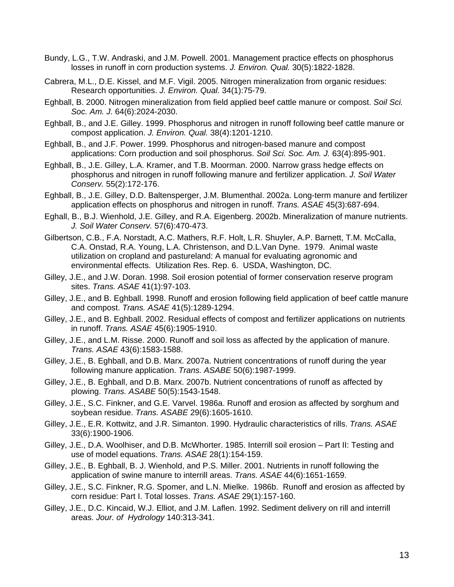- Bundy, L.G., T.W. Andraski, and J.M. Powell. 2001. Management practice effects on phosphorus losses in runoff in corn production systems. *J. Environ. Qual.* 30(5):1822-1828.
- Cabrera, M.L., D.E. Kissel, and M.F. Vigil. 2005. Nitrogen mineralization from organic residues: Research opportunities. *J. Environ. Qual.* 34(1):75-79.
- Eghball, B. 2000. Nitrogen mineralization from field applied beef cattle manure or compost. *Soil Sci. Soc. Am. J.* 64(6):2024-2030.
- Eghball, B., and J.E. Gilley. 1999. Phosphorus and nitrogen in runoff following beef cattle manure or compost application. *J. Environ. Qual.* 38(4):1201-1210.
- Eghball, B., and J.F. Power. 1999. Phosphorus and nitrogen-based manure and compost applications: Corn production and soil phosphorus. *Soil Sci. Soc. Am. J.* 63(4):895-901.
- Eghball, B., J.E. Gilley, L.A. Kramer, and T.B. Moorman. 2000. Narrow grass hedge effects on phosphorus and nitrogen in runoff following manure and fertilizer application. *J. Soil Water Conserv.* 55(2):172-176.
- Eghball, B., J.E. Gilley, D.D. Baltensperger, J.M. Blumenthal. 2002a. Long-term manure and fertilizer application effects on phosphorus and nitrogen in runoff. *Trans. ASAE* 45(3):687-694.
- Eghall, B., B.J. Wienhold, J.E. Gilley, and R.A. Eigenberg. 2002b. Mineralization of manure nutrients. *J. Soil Water Conserv.* 57(6):470-473.
- Gilbertson, C.B., F.A. Norstadt, A.C. Mathers, R.F. Holt, L.R. Shuyler, A.P. Barnett, T.M. McCalla, C.A. Onstad, R.A. Young, L.A. Christenson, and D.L.Van Dyne. 1979. Animal waste utilization on cropland and pastureland: A manual for evaluating agronomic and environmental effects. Utilization Res. Rep. 6. USDA, Washington, DC.
- Gilley, J.E., and J.W. Doran. 1998. Soil erosion potential of former conservation reserve program sites. *Trans. ASAE* 41(1):97-103.
- Gilley, J.E., and B. Eghball. 1998. Runoff and erosion following field application of beef cattle manure and compost. *Trans. ASAE* 41(5):1289-1294.
- Gilley, J.E., and B. Eghball. 2002. Residual effects of compost and fertilizer applications on nutrients in runoff. *Trans. ASAE* 45(6):1905-1910.
- Gilley, J.E., and L.M. Risse. 2000. Runoff and soil loss as affected by the application of manure. *Trans. ASAE* 43(6):1583-1588.
- Gilley, J.E., B. Eghball, and D.B. Marx. 2007a. Nutrient concentrations of runoff during the year following manure application. *Trans. ASABE* 50(6):1987-1999.
- Gilley, J.E., B. Eghball, and D.B. Marx. 2007b. Nutrient concentrations of runoff as affected by plowing. *Trans. ASABE* 50(5):1543-1548.
- Gilley, J.E., S.C. Finkner, and G.E. Varvel. 1986a. Runoff and erosion as affected by sorghum and soybean residue. *Trans. ASABE* 29(6):1605-1610.
- Gilley, J.E., E.R. Kottwitz, and J.R. Simanton. 1990. Hydraulic characteristics of rills. *Trans. ASAE* 33(6):1900-1906.
- Gilley, J.E., D.A. Woolhiser, and D.B. McWhorter. 1985. Interrill soil erosion Part II: Testing and use of model equations. *Trans. ASAE* 28(1):154-159.
- Gilley, J.E., B. Eghball, B. J. Wienhold, and P.S. Miller. 2001. Nutrients in runoff following the application of swine manure to interrill areas. *Trans. ASAE* 44(6):1651-1659.
- Gilley, J.E., S.C. Finkner, R.G. Spomer, and L.N. Mielke. 1986b. Runoff and erosion as affected by corn residue: Part I. Total losses. *Trans. ASAE* 29(1):157-160.
- Gilley, J.E., D.C. Kincaid, W.J. Elliot, and J.M. Laflen. 1992. Sediment delivery on rill and interrill areas. *Jour. of Hydrology* 140:313-341.